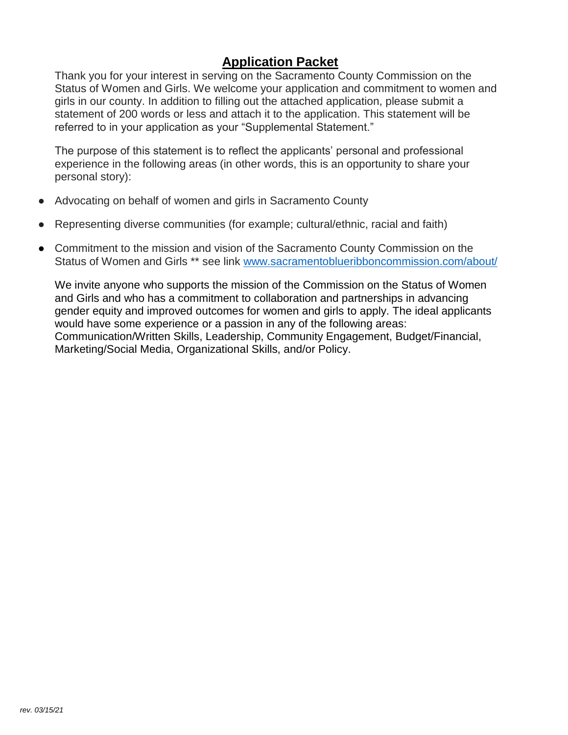# **Application Packet**

Thank you for your interest in serving on the Sacramento County Commission on the Status of Women and Girls. We welcome your application and commitment to women and girls in our county. In addition to filling out the attached application, please submit a statement of 200 words or less and attach it to the application. This statement will be referred to in your application as your "Supplemental Statement."

The purpose of this statement is to reflect the applicants' personal and professional experience in the following areas (in other words, this is an opportunity to share your personal story):

- Advocating on behalf of women and girls in Sacramento County
- Representing diverse communities (for example; cultural/ethnic, racial and faith)
- Commitment to the mission and vision of the Sacramento County Commission on the Status of Women and Girls \*\* see link [www.sacramentoblueribboncommission.com/about/](http://www.sacramentoblueribboncommission.com/about/)

We invite anyone who supports the mission of the Commission on the Status of Women and Girls and who has a commitment to collaboration and partnerships in advancing gender equity and improved outcomes for women and girls to apply. The ideal applicants would have some experience or a passion in any of the following areas: Communication/Written Skills, Leadership, Community Engagement, Budget/Financial, Marketing/Social Media, Organizational Skills, and/or Policy.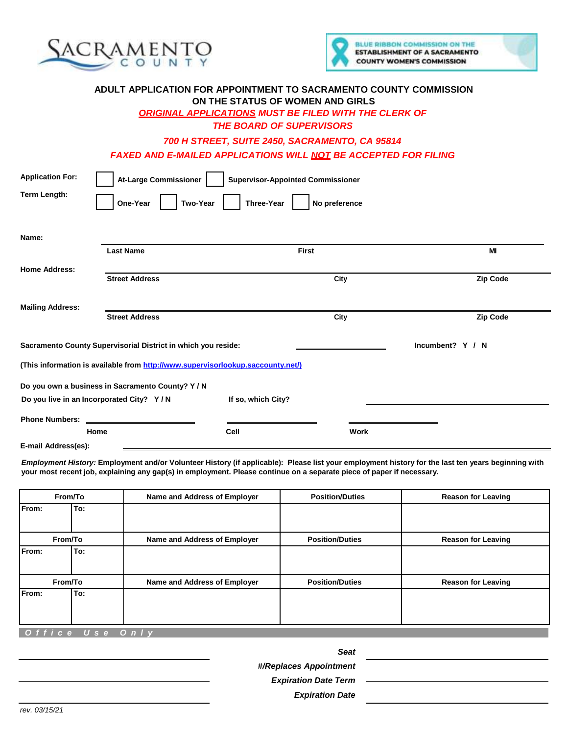



### **ADULT APPLICATION FOR APPOINTMENT TO SACRAMENTO COUNTY COMMISSION ON THE STATUS OF WOMEN AND GIRLS** *ORIGINAL APPLICATIONS MUST BE FILED WITH THE CLERK OF*

*THE BOARD OF SUPERVISORS*

*700 H STREET, SUITE 2450, SACRAMENTO, CA 95814 FAXED AND E-MAILED APPLICATIONS WILL NOT BE ACCEPTED FOR FILING*

| <b>Application For:</b>                                                           | <b>At-Large Commissioner</b>                      | <b>Supervisor-Appointed Commissioner</b> |               |          |  |
|-----------------------------------------------------------------------------------|---------------------------------------------------|------------------------------------------|---------------|----------|--|
| <b>Term Length:</b>                                                               | One-Year<br><b>Two-Year</b>                       | Three-Year                               | No preference |          |  |
|                                                                                   |                                                   |                                          |               |          |  |
| Name:                                                                             |                                                   |                                          |               |          |  |
|                                                                                   | <b>Last Name</b>                                  | <b>First</b>                             |               | MI       |  |
| <b>Home Address:</b>                                                              |                                                   |                                          |               |          |  |
|                                                                                   | <b>Street Address</b>                             |                                          | City          | Zip Code |  |
|                                                                                   |                                                   |                                          |               |          |  |
| <b>Mailing Address:</b>                                                           | <b>Street Address</b>                             |                                          | City          | Zip Code |  |
|                                                                                   |                                                   |                                          |               |          |  |
| Incumbent? Y / N<br>Sacramento County Supervisorial District in which you reside: |                                                   |                                          |               |          |  |
| (This information is available from http://www.supervisorlookup.saccounty.net/)   |                                                   |                                          |               |          |  |
|                                                                                   |                                                   |                                          |               |          |  |
|                                                                                   | Do you own a business in Sacramento County? Y / N |                                          |               |          |  |
|                                                                                   | Do you live in an Incorporated City? Y/N          | If so, which City?                       |               |          |  |
| <b>Phone Numbers:</b>                                                             |                                                   |                                          |               |          |  |
|                                                                                   | Home                                              | Cell                                     | Work          |          |  |
| E-mail Address(es):                                                               |                                                   |                                          |               |          |  |

*Employment History:* **Employment and/or Volunteer History (if applicable): Please list your employment history for the last ten years beginning with your most recent job, explaining any gap(s) in employment. Please continue on a separate piece of paper if necessary.** 

|       | From/To | Name and Address of Employer | <b>Position/Duties</b> | <b>Reason for Leaving</b> |
|-------|---------|------------------------------|------------------------|---------------------------|
| From: | To:     |                              |                        |                           |
|       | From/To | Name and Address of Employer | <b>Position/Duties</b> | <b>Reason for Leaving</b> |
| From: | To:     |                              |                        |                           |
|       | From/To | Name and Address of Employer | <b>Position/Duties</b> | <b>Reason for Leaving</b> |
| From: | To:     |                              |                        |                           |
|       |         |                              |                        |                           |

 *O f f i c e U s e O n l y*

#### *Seat*

*#/Replaces Appointment* 

*Expiration Date Term* 

*Expiration Date*